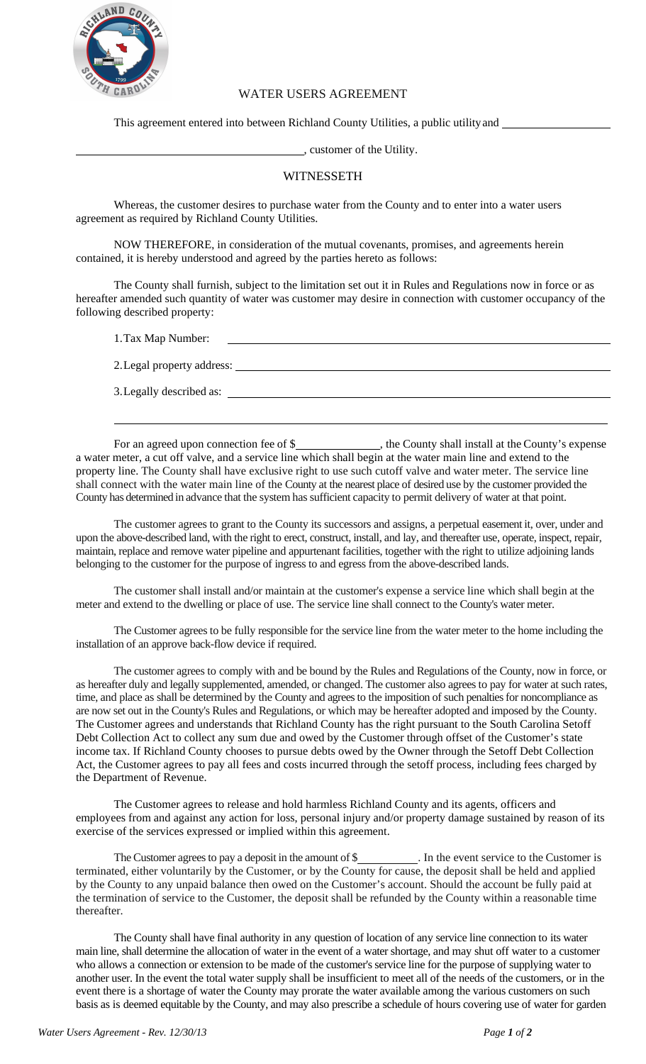

3.Legally described as:

## WATER USERS AGREEMENT

This agreement entered into between Richland County Utilities, a public utilityand

, customer of the Utility.

## WITNESSETH

Whereas, the customer desires to purchase water from the County and to enter into a water users agreement as required by Richland County Utilities.

NOW THEREFORE, in consideration of the mutual covenants, promises, and agreements herein contained, it is hereby understood and agreed by the parties hereto as follows:

The County shall furnish, subject to the limitation set out it in Rules and Regulations now in force or as hereafter amended such quantity of water was customer may desire in connection with customer occupancy of the following described property:

1.Tax Map Number: 2.Legal property address:

For an agreed upon connection fee of \$\_\_\_\_\_\_\_\_\_\_\_\_\_\_\_, the County shall install at the County's expense a water meter, a cut off valve, and a service line which shall begin at the water main line and extend to the property line. The County shall have exclusive right to use such cutoff valve and water meter. The service line shall connect with the water main line of the County at the nearest place of desired use by the customer provided the County has determined in advance that the system has sufficient capacity to permit delivery of water at that point.

The customer agrees to grant to the County its successors and assigns, a perpetual easement it, over, under and upon the above-described land, with the right to erect, construct, install, and lay, and thereafter use, operate, inspect, repair, maintain, replace and remove water pipeline and appurtenant facilities, together with the right to utilize adjoining lands belonging to the customer for the purpose of ingress to and egress from the above-described lands.

The customer shall install and/or maintain at the customer's expense a service line which shall begin at the meter and extend to the dwelling or place of use. The service line shall connect to the County's water meter.

The Customer agrees to be fully responsible for the service line from the water meter to the home including the installation of an approve back-flow device if required.

The customer agrees to comply with and be bound by the Rules and Regulations of the County, now in force, or as hereafter duly and legally supplemented, amended, or changed. The customer also agrees to pay for water at such rates, time, and place as shall be determined by the County and agrees to the imposition of such penalties for noncompliance as are now set out in the County's Rules and Regulations, or which may be hereafter adopted and imposed by the County. The Customer agrees and understands that Richland County has the right pursuant to the South Carolina Setoff Debt Collection Act to collect any sum due and owed by the Customer through offset of the Customer's state income tax. If Richland County chooses to pursue debts owed by the Owner through the Setoff Debt Collection Act, the Customer agrees to pay all fees and costs incurred through the setoff process, including fees charged by the Department of Revenue.

The Customer agrees to release and hold harmless Richland County and its agents, officers and employees from and against any action for loss, personal injury and/or property damage sustained by reason of its exercise of the services expressed or implied within this agreement.

The Customer agrees to pay a deposit in the amount of \$\_\_\_\_\_\_\_\_\_\_\_\_. In the event service to the Customer is terminated, either voluntarily by the Customer, or by the County for cause, the deposit shall be held and applied by the County to any unpaid balance then owed on the Customer's account. Should the account be fully paid at the termination of service to the Customer, the deposit shall be refunded by the County within a reasonable time thereafter.

The County shall have final authority in any question of location of any service line connection to its water main line, shall determine the allocation of water in the event of a water shortage, and may shut off water to a customer who allows a connection or extension to be made of the customer's service line for the purpose of supplying water to another user. In the event the total water supply shall be insufficient to meet all of the needs of the customers, or in the event there is a shortage of water the County may prorate the water available among the various customers on such basis as is deemed equitable by the County, and may also prescribe a schedule of hours covering use of water for garden